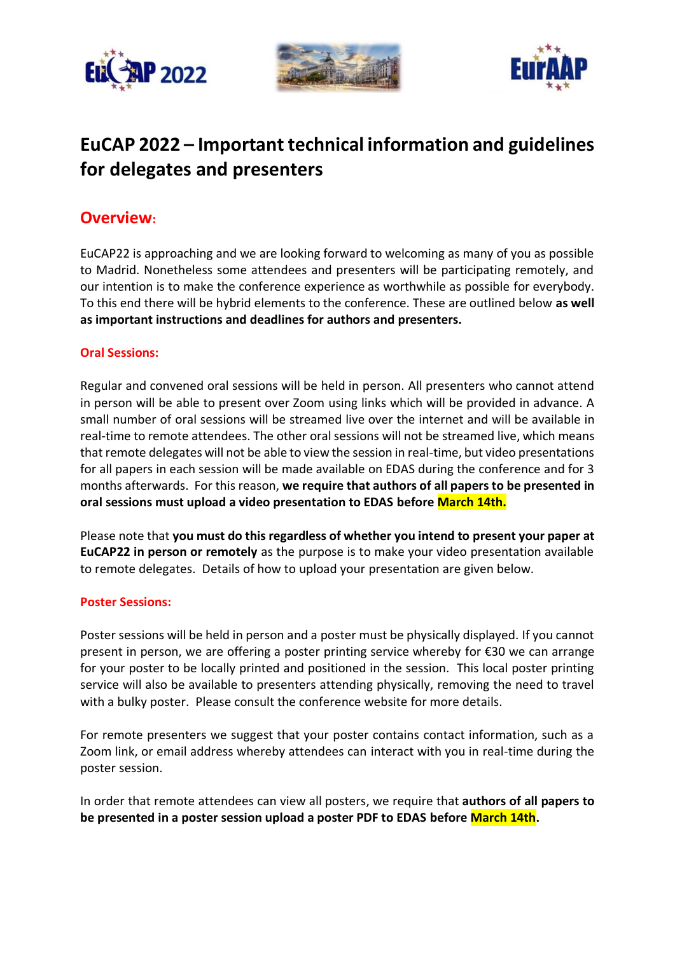





# **EuCAP 2022 – Important technical information and guidelines for delegates and presenters**

### **Overview:**

EuCAP22 is approaching and we are looking forward to welcoming as many of you as possible to Madrid. Nonetheless some attendees and presenters will be participating remotely, and our intention is to make the conference experience as worthwhile as possible for everybody. To this end there will be hybrid elements to the conference. These are outlined below **as well as important instructions and deadlines for authors and presenters.** 

#### **Oral Sessions:**

Regular and convened oral sessions will be held in person. All presenters who cannot attend in person will be able to present over Zoom using links which will be provided in advance. A small number of oral sessions will be streamed live over the internet and will be available in real-time to remote attendees. The other oral sessions will not be streamed live, which means that remote delegates will not be able to view the session in real-time, but video presentations for all papers in each session will be made available on EDAS during the conference and for 3 months afterwards. For this reason, **we require that authors of all papers to be presented in oral sessions must upload a video presentation to EDAS before March 14th.**

Please note that **you must do this regardless of whether you intend to present your paper at EuCAP22 in person or remotely** as the purpose is to make your video presentation available to remote delegates. Details of how to upload your presentation are given below.

#### **Poster Sessions:**

Poster sessions will be held in person and a poster must be physically displayed. If you cannot present in person, we are offering a poster printing service whereby for €30 we can arrange for your poster to be locally printed and positioned in the session. This local poster printing service will also be available to presenters attending physically, removing the need to travel with a bulky poster. Please consult the conference website for more details.

For remote presenters we suggest that your poster contains contact information, such as a Zoom link, or email address whereby attendees can interact with you in real-time during the poster session.

In order that remote attendees can view all posters, we require that **authors of all papers to be presented in a poster session upload a poster PDF to EDAS before March 14th.**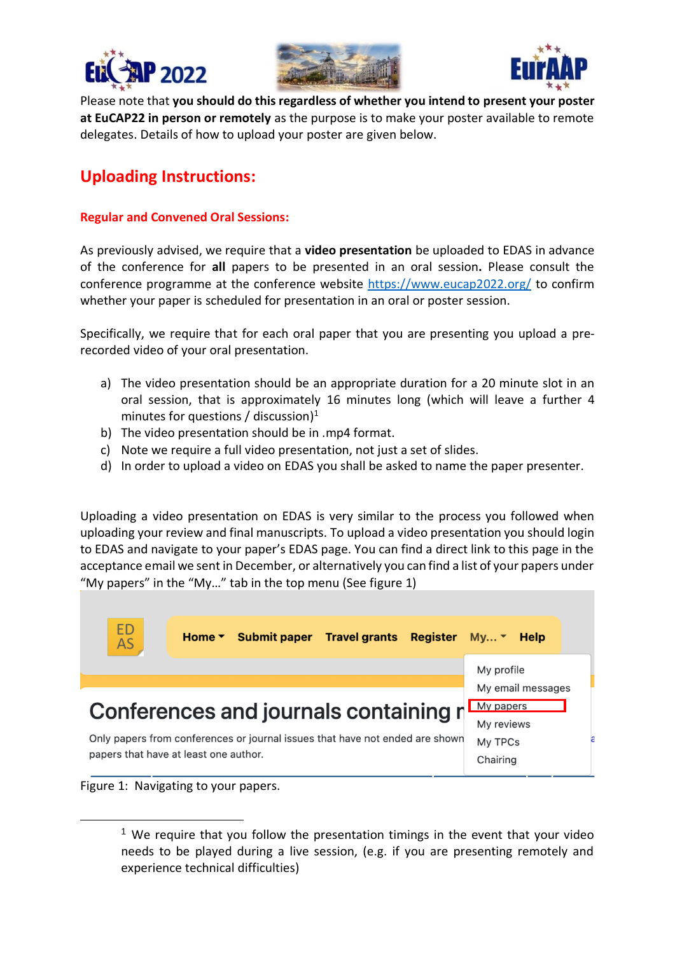





Please note that **you should do this regardless of whether you intend to present your poster at EuCAP22 in person or remotely** as the purpose is to make your poster available to remote delegates. Details of how to upload your poster are given below.

## **Uploading Instructions:**

#### **Regular and Convened Oral Sessions:**

As previously advised, we require that a **video presentation** be uploaded to EDAS in advance of the conference for **all** papers to be presented in an oral session**.** Please consult the conference programme at the conference website<https://www.eucap2022.org/> to confirm whether your paper is scheduled for presentation in an oral or poster session.

Specifically, we require that for each oral paper that you are presenting you upload a prerecorded video of your oral presentation.

- a) The video presentation should be an appropriate duration for a 20 minute slot in an oral session, that is approximately 16 minutes long (which will leave a further 4 minutes for questions / discussion) 1
- b) The video presentation should be in .mp4 format.
- c) Note we require a full video presentation, not just a set of slides.
- d) In order to upload a video on EDAS you shall be asked to name the paper presenter.

Uploading a video presentation on EDAS is very similar to the process you followed when uploading your review and final manuscripts. To upload a video presentation you should login to EDAS and navigate to your paper's EDAS page. You can find a direct link to this page in the acceptance email we sent in December, or alternatively you can find a list of your papers under "My papers" in the "My…" tab in the top menu (See figure 1)



Figure 1: Navigating to your papers.

<sup>&</sup>lt;sup>1</sup> We require that you follow the presentation timings in the event that your video needs to be played during a live session, (e.g. if you are presenting remotely and experience technical difficulties)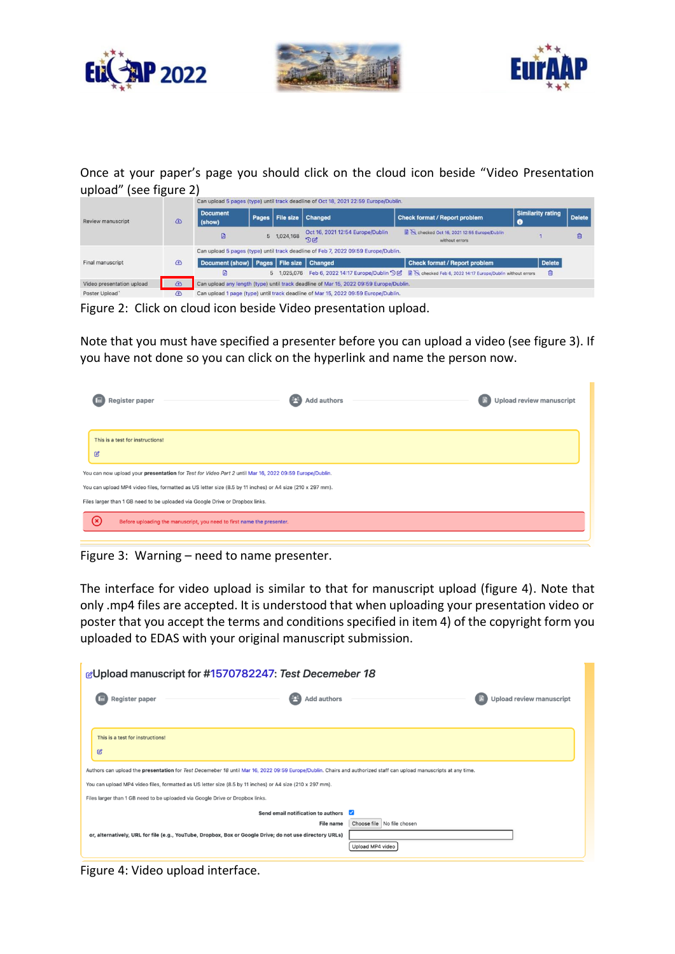





Once at your paper's page you should click on the cloud icon beside "Video Presentation upload" (see figure 2)

|                           |             |                           |                                                                                       |                   | Can upload 5 pages (type) until track deadline of Oct 18, 2021 22:59 Europe/Dublin.    |                                                                                                        |                          |               |
|---------------------------|-------------|---------------------------|---------------------------------------------------------------------------------------|-------------------|----------------------------------------------------------------------------------------|--------------------------------------------------------------------------------------------------------|--------------------------|---------------|
| <b>Review manuscript</b>  | $\bigcirc$  | <b>Document</b><br>(show) |                                                                                       | Pages   File size | <b>Changed</b>                                                                         | <b>Check format / Report problem</b><br>O                                                              | <b>Similarity rating</b> | <b>Delete</b> |
|                           |             | D                         |                                                                                       | 5 1,024,168       | Oct 16, 2021 12:54 Europe/Dublin<br>DZ                                                 | checked Oct 16, 2021 12:55 Europe/Dublin<br>without errors                                             |                          | t             |
|                           |             |                           |                                                                                       |                   | Can upload 5 pages (type) until track deadline of Feb 7, 2022 09:59 Europe/Dublin.     |                                                                                                        |                          |               |
| Final manuscript          | $\bigcirc$  |                           | Document (show)   Pages   File size   Changed<br><b>Check format / Report problem</b> |                   | <b>Delete</b>                                                                          |                                                                                                        |                          |               |
|                           |             | 囟                         |                                                                                       |                   |                                                                                        | 5 1,025,076 Feb 6, 2022 14:17 Europe/Dublin "Die Recked Feb 6, 2022 14:17 Europe/Dublin without errors | û                        |               |
| Video presentation upload | $\bigoplus$ |                           |                                                                                       |                   | Can upload any length (type) until track deadline of Mar 15, 2022 09:59 Europe/Dublin. |                                                                                                        |                          |               |
| Poster Upload             | $\bigcirc$  |                           |                                                                                       |                   | Can upload 1 page (type) until track deadline of Mar 15, 2022 09:59 Europe/Dublin.     |                                                                                                        |                          |               |

Figure 2: Click on cloud icon beside Video presentation upload.

Note that you must have specified a presenter before you can upload a video (see figure 3). If you have not done so you can click on the hyperlink and name the person now.

|                   | Register paper                                                                                            | <b>Add authors</b> | <b>Upload review manuscript</b> |
|-------------------|-----------------------------------------------------------------------------------------------------------|--------------------|---------------------------------|
|                   |                                                                                                           |                    |                                 |
|                   | This is a test for instructions!                                                                          |                    |                                 |
| $\mathcal{C}$     |                                                                                                           |                    |                                 |
|                   | You can now upload your presentation for Test for Video Part 2 until Mar 16, 2022 09:59 Europe/Dublin.    |                    |                                 |
|                   | You can upload MP4 video files, formatted as US letter size (8.5 by 11 inches) or A4 size (210 x 297 mm). |                    |                                 |
|                   | Files larger than 1 GB need to be uploaded via Google Drive or Dropbox links.                             |                    |                                 |
| $\mathbf{\infty}$ | Before uploading the manuscript, you need to first name the presenter.                                    |                    |                                 |
|                   |                                                                                                           |                    |                                 |

Figure 3: Warning – need to name presenter.

The interface for video upload is similar to that for manuscript upload (figure 4). Note that only .mp4 files are accepted. It is understood that when uploading your presentation video or poster that you accept the terms and conditions specified in item 4) of the copyright form you uploaded to EDAS with your original manuscript submission.

| gUpload manuscript for #1570782247: Test Decemeber 18                                                                                                             |                                 |
|-------------------------------------------------------------------------------------------------------------------------------------------------------------------|---------------------------------|
| <b>Add authors</b><br>Register paper                                                                                                                              | <b>Upload review manuscript</b> |
|                                                                                                                                                                   |                                 |
| This is a test for instructions!                                                                                                                                  |                                 |
| C                                                                                                                                                                 |                                 |
| Authors can upload the presentation for Test Decemeber 18 until Mar 16, 2022 09:59 Europe/Dublin. Chairs and authorized staff can upload manuscripts at any time. |                                 |
| You can upload MP4 video files, formatted as US letter size (8.5 by 11 inches) or A4 size (210 x 297 mm).                                                         |                                 |
| Files larger than 1 GB need to be uploaded via Google Drive or Dropbox links.                                                                                     |                                 |
| Send email notification to authors                                                                                                                                | ☑                               |
| <b>File name</b>                                                                                                                                                  | Choose file   No file chosen    |
| or, alternatively, URL for file (e.g., YouTube, Dropbox, Box or Google Drive; do not use directory URLs)                                                          |                                 |
|                                                                                                                                                                   | Upload MP4 video                |

Figure 4: Video upload interface.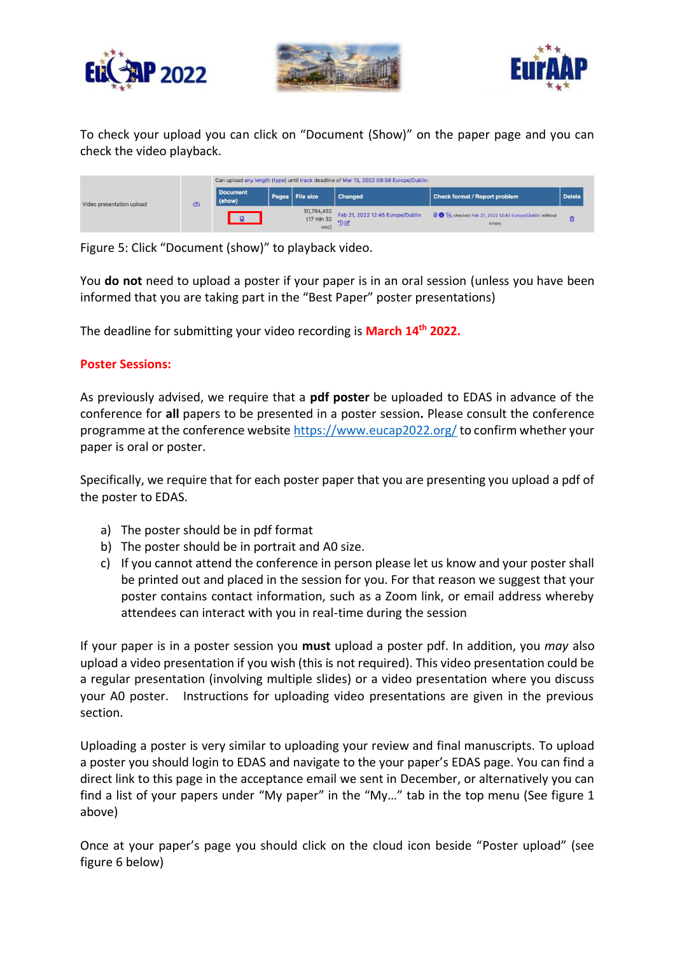





To check your upload you can click on "Document (Show)" on the paper page and you can check the video playback.

|                           |  | Can upload any length (type) until track deadline of Mar 15, 2022 09:59 Europe/Dublin. |  |                                   |                                        |                                                                                |               |  |
|---------------------------|--|----------------------------------------------------------------------------------------|--|-----------------------------------|----------------------------------------|--------------------------------------------------------------------------------|---------------|--|
| Video presentation upload |  | <b>Document</b><br>(show)                                                              |  | Pages   File size                 | <b>Changed</b>                         | <b>Check format / Report problem</b>                                           | <b>Delete</b> |  |
|                           |  |                                                                                        |  | 30,794,452<br>(17 min 32)<br>sec) | Feb 21, 2022 12:45 Europe/Dublin<br>DZ | Concident Contract Peb 21, 2022 12:45 Europe/Dublin without<br>errors<br>----- |               |  |

Figure 5: Click "Document (show)" to playback video.

You **do not** need to upload a poster if your paper is in an oral session (unless you have been informed that you are taking part in the "Best Paper" poster presentations)

The deadline for submitting your video recording is **March 14th 2022.**

#### **Poster Sessions:**

As previously advised, we require that a **pdf poster** be uploaded to EDAS in advance of the conference for **all** papers to be presented in a poster session**.** Please consult the conference programme at the conference website<https://www.eucap2022.org/> to confirm whether your paper is oral or poster.

Specifically, we require that for each poster paper that you are presenting you upload a pdf of the poster to EDAS.

- a) The poster should be in pdf format
- b) The poster should be in portrait and A0 size.
- c) If you cannot attend the conference in person please let us know and your poster shall be printed out and placed in the session for you. For that reason we suggest that your poster contains contact information, such as a Zoom link, or email address whereby attendees can interact with you in real-time during the session

If your paper is in a poster session you **must** upload a poster pdf. In addition, you *may* also upload a video presentation if you wish (this is not required). This video presentation could be a regular presentation (involving multiple slides) or a video presentation where you discuss your A0 poster. Instructions for uploading video presentations are given in the previous section.

Uploading a poster is very similar to uploading your review and final manuscripts. To upload a poster you should login to EDAS and navigate to the your paper's EDAS page. You can find a direct link to this page in the acceptance email we sent in December, or alternatively you can find a list of your papers under "My paper" in the "My…" tab in the top menu (See figure 1 above)

Once at your paper's page you should click on the cloud icon beside "Poster upload" (see figure 6 below)